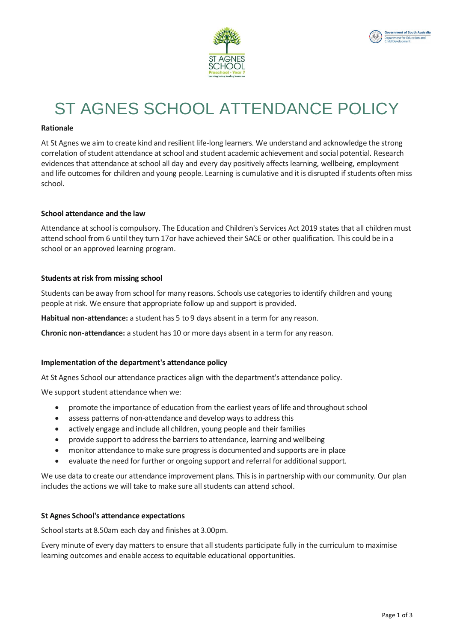



# ST AGNES SCHOOL ATTENDANCE POLICY

### **Rationale**

At St Agnes we aim to create kind and resilient life-long learners. We understand and acknowledge the strong correlation of student attendance at school and student academic achievement and social potential. Research evidences that attendance at school all day and every day positively affects learning, wellbeing, employment and life outcomes for children and young people. Learning is cumulative and it is disrupted if students often miss school.

# **School attendance and the law**

Attendance at school is compulsory. The Education and Children's Services Act 2019 states that all children must attend school from 6 until they turn 17or have achieved their SACE or other qualification. This could be in a school or an approved learning program.

#### **Students at risk from missing school**

Students can be away from school for many reasons. Schools use categories to identify children and young people at risk. We ensure that appropriate follow up and support is provided.

**Habitual non-attendance:** a student has 5 to 9 days absent in a term for any reason.

**Chronic non-attendance:** a student has 10 or more days absent in a term for any reason.

#### **Implementation of the department's attendance policy**

At St Agnes School our attendance practices align with the department's attendance policy.

We support student attendance when we:

- promote the importance of education from the earliest years of life and throughout school
- assess patterns of non-attendance and develop ways to address this
- actively engage and include all children, young people and their families
- provide support to address the barriers to attendance, learning and wellbeing
- monitor attendance to make sure progress is documented and supports are in place
- evaluate the need for further or ongoing support and referral for additional support.

We use data to create our attendance improvement plans. This is in partnership with our community. Our plan includes the actions we will take to make sure all students can attend school.

#### **St Agnes School's attendance expectations**

School starts at 8.50am each day and finishes at 3.00pm.

Every minute of every day matters to ensure that all students participate fully in the curriculum to maximise learning outcomes and enable access to equitable educational opportunities.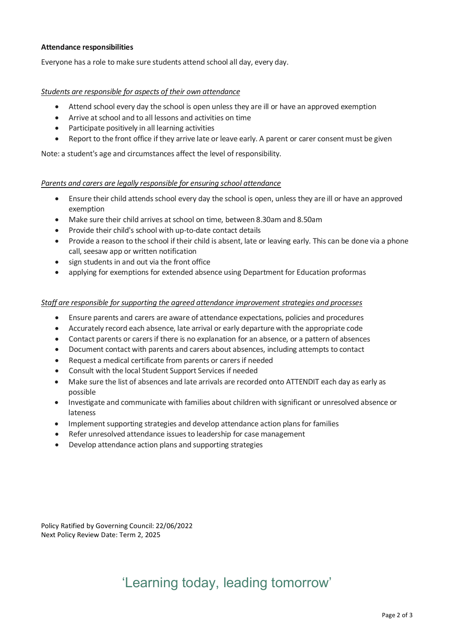# **Attendance responsibilities**

Everyone has a role to make sure students attend school all day, every day.

### *Students are responsible for aspects of their own attendance*

- Attend school every day the school is open unless they are ill or have an approved exemption
- Arrive at school and to all lessons and activities on time
- Participate positively in all learning activities
- Report to the front office if they arrive late or leave early. A parent or carer consent must be given

Note: a student's age and circumstances affect the level of responsibility.

#### *Parents and carers are legally responsible for ensuring school attendance*

- Ensure their child attends school every day the school is open, unless they are ill or have an approved exemption
- Make sure their child arrives at school on time, between 8.30am and 8.50am
- Provide their child's school with up-to-date contact details
- Provide a reason to the school if their child is absent, late or leaving early. This can be done via a phone call, seesaw app or written notification
- sign students in and out via the front office
- applying for exemptions for extended absence using Department for Education proformas

# *Staff are responsible for supporting the agreed attendance improvement strategies and processes*

- Ensure parents and carers are aware of attendance expectations, policies and procedures
- Accurately record each absence, late arrival or early departure with the appropriate code
- Contact parents or carers if there is no explanation for an absence, or a pattern of absences
- Document contact with parents and carers about absences, including attempts to contact
- Request a medical certificate from parents or carers if needed
- Consult with the local Student Support Services if needed
- Make sure the list of absences and late arrivals are recorded onto ATTENDIT each day as early as possible
- Investigate and communicate with families about children with significant or unresolved absence or lateness
- Implement supporting strategies and develop attendance action plans for families
- Refer unresolved attendance issues to leadership for case management
- Develop attendance action plans and supporting strategies

Policy Ratified by Governing Council: 22/06/2022 Next Policy Review Date: Term 2, 2025

# 'Learning today, leading tomorrow'